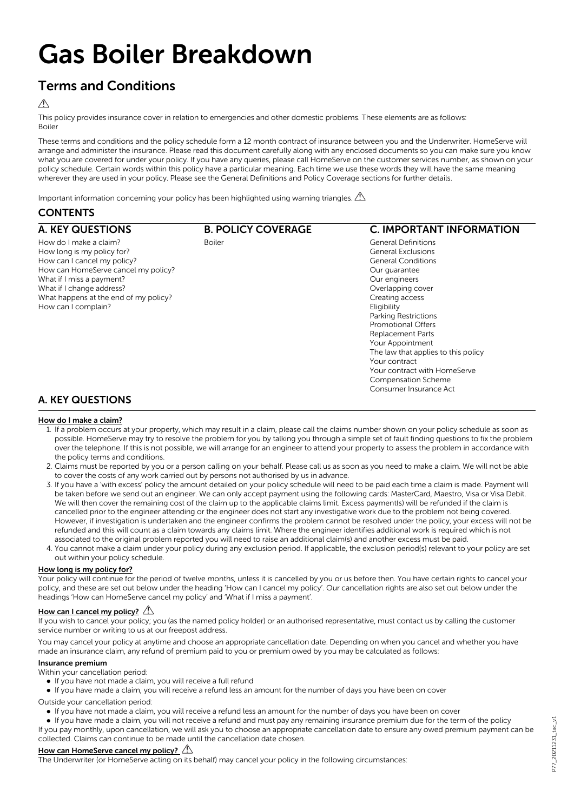# Gas Boiler Breakdown

# Terms and Conditions

## $\bigwedge$

This policy provides insurance cover in relation to emergencies and other domestic problems. These elements are as follows: Boiler

These terms and conditions and the policy schedule form a 12 month contract of insurance between you and the Underwriter. HomeServe will arrange and administer the insurance. Please read this document carefully along with any enclosed documents so you can make sure you know what you are covered for under your policy. If you have any queries, please call HomeServe on the customer services number, as shown on your policy schedule. Certain words within this policy have a particular meaning. Each time we use these words they will have the same meaning wherever they are used in your policy. Please see the General Definitions and Policy Coverage sections for further details.

Important information concerning your policy has been highlighted using warning triangles.  $\triangle$ 

## **CONTENTS**

| <b>A. KEY QUESTIONS</b>               | <b>B. POLICY COVERAGE</b> | <b>C. IMPORTANT INFORMATION</b>     |
|---------------------------------------|---------------------------|-------------------------------------|
| How do I make a claim?                | <b>Boiler</b>             | <b>General Definitions</b>          |
| How long is my policy for?            |                           | <b>General Exclusions</b>           |
| How can I cancel my policy?           |                           | <b>General Conditions</b>           |
| How can HomeServe cancel my policy?   |                           | Our quarantee                       |
| What if I miss a payment?             |                           | Our engineers                       |
| What if I change address?             |                           | Overlapping cover                   |
| What happens at the end of my policy? |                           | Creating access                     |
| How can I complain?                   |                           | Eligibility                         |
|                                       |                           | Parking Restrictions                |
|                                       |                           | <b>Promotional Offers</b>           |
|                                       |                           | <b>Replacement Parts</b>            |
|                                       |                           | Your Appointment                    |
|                                       |                           | The law that applies to this policy |
|                                       |                           | Your contract                       |
|                                       |                           | Your contract with HomeServe        |
|                                       |                           | <b>Compensation Scheme</b>          |
|                                       |                           | Consumer Insurance Act              |
| <b>A. KEY QUESTIONS</b>               |                           |                                     |
| How do I make a claim?                |                           |                                     |

- 1. If a problem occurs at your property, which may result in a claim, please call the claims number shown on your policy schedule as soon as possible. HomeServe may try to resolve the problem for you by talking you through a simple set of fault finding questions to fix the problem over the telephone. If this is not possible, we will arrange for an engineer to attend your property to assess the problem in accordance with the policy terms and conditions.
- 2. Claims must be reported by you or a person calling on your behalf. Please call us as soon as you need to make a claim. We will not be able to cover the costs of any work carried out by persons not authorised by us in advance.
- 3. If you have a 'with excess' policy the amount detailed on your policy schedule will need to be paid each time a claim is made. Payment will be taken before we send out an engineer. We can only accept payment using the following cards: MasterCard, Maestro, Visa or Visa Debit. We will then cover the remaining cost of the claim up to the applicable claims limit. Excess payment(s) will be refunded if the claim is cancelled prior to the engineer attending or the engineer does not start any investigative work due to the problem not being covered. However, if investigation is undertaken and the engineer confirms the problem cannot be resolved under the policy, your excess will not be refunded and this will count as a claim towards any claims limit. Where the engineer identifies additional work is required which is not associated to the original problem reported you will need to raise an additional claim(s) and another excess must be paid.
- 4. You cannot make a claim under your policy during any exclusion period. If applicable, the exclusion period(s) relevant to your policy are set out within your policy schedule.

## How long is my policy for?

Your policy will continue for the period of twelve months, unless it is cancelled by you or us before then. You have certain rights to cancel your policy, and these are set out below under the heading 'How can I cancel my policy'. Our cancellation rights are also set out below under the headings 'How can HomeServe cancel my policy' and 'What if I miss a payment'.

## How can I cancel my policy?  $\mathbb{A}$

If you wish to cancel your policy; you (as the named policy holder) or an authorised representative, must contact us by calling the customer service number or writing to us at our freepost address.

You may cancel your policy at anytime and choose an appropriate cancellation date. Depending on when you cancel and whether you have made an insurance claim, any refund of premium paid to you or premium owed by you may be calculated as follows:

## Insurance premium

- Within your cancellation period:
	- If you have not made a claim, you will receive a full refund
- l If you have made a claim, you will receive a refund less an amount for the number of days you have been on cover

Outside your cancellation period:

l If you have not made a claim, you will receive a refund less an amount for the number of days you have been on cover

l If you have made a claim, you will not receive a refund and must pay any remaining insurance premium due for the term of the policy If you pay monthly, upon cancellation, we will ask you to choose an appropriate cancellation date to ensure any owed premium payment can be collected. Claims can continue to be made until the cancellation date chosen.

## How can HomeServe cancel my policy?

The Underwriter (or HomeServe acting on its behalf) may cancel your policy in the following circumstances: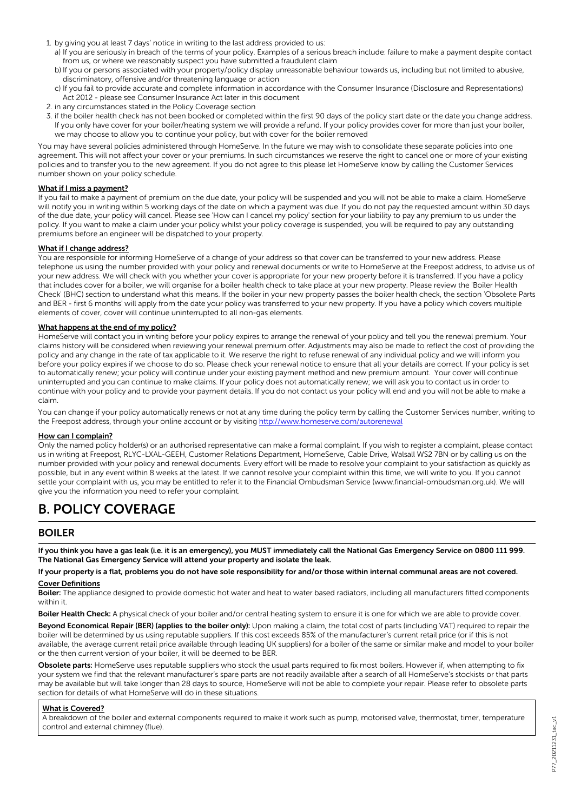- 1. by giving you at least 7 days' notice in writing to the last address provided to us:
	- a) If you are seriously in breach of the terms of your policy. Examples of a serious breach include: failure to make a payment despite contact from us, or where we reasonably suspect you have submitted a fraudulent claim
	- b) If you or persons associated with your property/policy display unreasonable behaviour towards us, including but not limited to abusive, discriminatory, offensive and/or threatening language or action
	- c) If you fail to provide accurate and complete information in accordance with the Consumer Insurance (Disclosure and Representations) Act 2012 - please see Consumer Insurance Act later in this document
- 2. in any circumstances stated in the Policy Coverage section
- 3. if the boiler health check has not been booked or completed within the first 90 days of the policy start date or the date you change address. If you only have cover for your boiler/heating system we will provide a refund. If your policy provides cover for more than just your boiler, we may choose to allow you to continue your policy, but with cover for the boiler removed

You may have several policies administered through HomeServe. In the future we may wish to consolidate these separate policies into one agreement. This will not affect your cover or your premiums. In such circumstances we reserve the right to cancel one or more of your existing policies and to transfer you to the new agreement. If you do not agree to this please let HomeServe know by calling the Customer Services number shown on your policy schedule.

## What if I miss a payment?

If you fail to make a payment of premium on the due date, your policy will be suspended and you will not be able to make a claim. HomeServe will notify you in writing within 5 working days of the date on which a payment was due. If you do not pay the requested amount within 30 days of the due date, your policy will cancel. Please see 'How can I cancel my policy' section for your liability to pay any premium to us under the policy. If you want to make a claim under your policy whilst your policy coverage is suspended, you will be required to pay any outstanding premiums before an engineer will be dispatched to your property.

#### What if I change address?

You are responsible for informing HomeServe of a change of your address so that cover can be transferred to your new address. Please telephone us using the number provided with your policy and renewal documents or write to HomeServe at the Freepost address, to advise us of your new address. We will check with you whether your cover is appropriate for your new property before it is transferred. If you have a policy that includes cover for a boiler, we will organise for a boiler health check to take place at your new property. Please review the 'Boiler Health Check' (BHC) section to understand what this means. If the boiler in your new property passes the boiler health check, the section 'Obsolete Parts and BER - first 6 months' will apply from the date your policy was transferred to your new property. If you have a policy which covers multiple elements of cover, cover will continue uninterrupted to all non-gas elements.

## What happens at the end of my policy?

HomeServe will contact you in writing before your policy expires to arrange the renewal of your policy and tell you the renewal premium. Your claims history will be considered when reviewing your renewal premium offer. Adjustments may also be made to reflect the cost of providing the policy and any change in the rate of tax applicable to it. We reserve the right to refuse renewal of any individual policy and we will inform you before your policy expires if we choose to do so. Please check your renewal notice to ensure that all your details are correct. If your policy is set to automatically renew; your policy will continue under your existing payment method and new premium amount. Your cover will continue uninterrupted and you can continue to make claims. If your policy does not automatically renew; we will ask you to contact us in order to continue with your policy and to provide your payment details. If you do not contact us your policy will end and you will not be able to make a claim.

You can change if your policy automatically renews or not at any time during the policy term by calling the Customer Services number, writing to the Freepost address, through your online account or by visiting <http://www.homeserve.com/autorenewal>

#### How can I complain?

Only the named policy holder(s) or an authorised representative can make a formal complaint. If you wish to register a complaint, please contact us in writing at Freepost, RLYC-LXAL-GEEH, Customer Relations Department, HomeServe, Cable Drive, Walsall WS2 7BN or by calling us on the number provided with your policy and renewal documents. Every effort will be made to resolve your complaint to your satisfaction as quickly as possible, but in any event within 8 weeks at the latest. If we cannot resolve your complaint within this time, we will write to you. If you cannot settle your complaint with us, you may be entitled to refer it to the Financial Ombudsman Service (www.financial-ombudsman.org.uk). We will give you the information you need to refer your complaint.

# B. POLICY COVERAGE

## BOILER

If you think you have a gas leak (i.e. it is an emergency), you MUST immediately call the National Gas Emergency Service on 0800 111 999. The National Gas Emergency Service will attend your property and isolate the leak.

If your property is a flat, problems you do not have sole responsibility for and/or those within internal communal areas are not covered. Cover Definitions

Boiler: The appliance designed to provide domestic hot water and heat to water based radiators, including all manufacturers fitted components within it.

Boiler Health Check: A physical check of your boiler and/or central heating system to ensure it is one for which we are able to provide cover.

Beyond Economical Repair (BER) (applies to the boiler only): Upon making a claim, the total cost of parts (including VAT) required to repair the boiler will be determined by us using reputable suppliers. If this cost exceeds 85% of the manufacturer's current retail price (or if this is not available, the average current retail price available through leading UK suppliers) for a boiler of the same or similar make and model to your boiler or the then current version of your boiler, it will be deemed to be BER.

Obsolete parts: HomeServe uses reputable suppliers who stock the usual parts required to fix most boilers. However if, when attempting to fix your system we find that the relevant manufacturer's spare parts are not readily available after a search of all HomeServe's stockists or that parts may be available but will take longer than 28 days to source, HomeServe will not be able to complete your repair. Please refer to obsolete parts section for details of what HomeServe will do in these situations.

#### What is Covered?

A breakdown of the boiler and external components required to make it work such as pump, motorised valve, thermostat, timer, temperature control and external chimney (flue).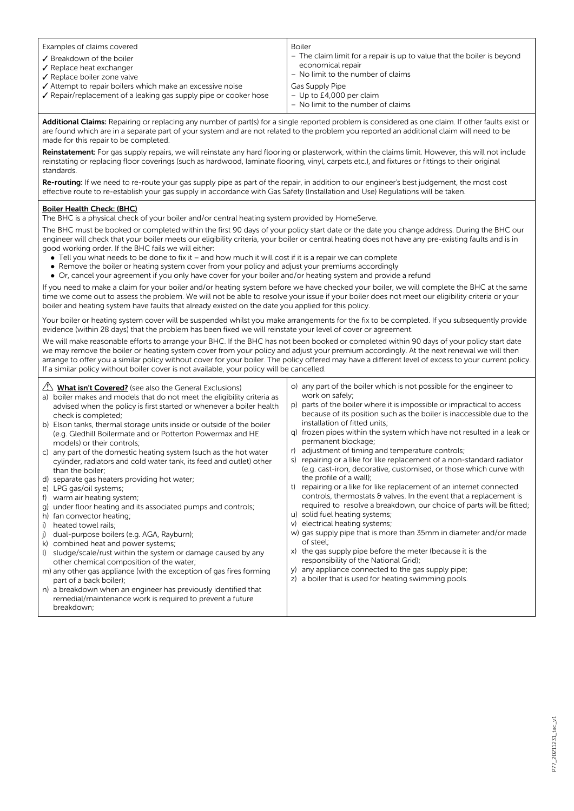|                                                                                                                                                                                                                                                                                                                                          | Examples of claims covered<br>✔ Breakdown of the boiler<br>$\checkmark$ Replace heat exchanger<br>✔ Replace boiler zone valve<br>$\checkmark$ Attempt to repair boilers which make an excessive noise<br>$\sqrt{\ }$ Repair/replacement of a leaking gas supply pipe or cooker hose                   | <b>Boiler</b><br>- The claim limit for a repair is up to value that the boiler is beyond<br>economical repair<br>- No limit to the number of claims<br>Gas Supply Pipe<br>$-$ Up to £4,000 per claim<br>- No limit to the number of claims |  |  |
|------------------------------------------------------------------------------------------------------------------------------------------------------------------------------------------------------------------------------------------------------------------------------------------------------------------------------------------|-------------------------------------------------------------------------------------------------------------------------------------------------------------------------------------------------------------------------------------------------------------------------------------------------------|--------------------------------------------------------------------------------------------------------------------------------------------------------------------------------------------------------------------------------------------|--|--|
| Additional Claims: Repairing or replacing any number of part(s) for a single reported problem is considered as one claim. If other faults exist or<br>are found which are in a separate part of your system and are not related to the problem you reported an additional claim will need to be<br>made for this repair to be completed. |                                                                                                                                                                                                                                                                                                       |                                                                                                                                                                                                                                            |  |  |
|                                                                                                                                                                                                                                                                                                                                          | Reinstatement: For gas supply repairs, we will reinstate any hard flooring or plasterwork, within the claims limit. However, this will not include<br>reinstating or replacing floor coverings (such as hardwood, laminate flooring, vinyl, carpets etc.), and fixtures or fittings to their original |                                                                                                                                                                                                                                            |  |  |

Re-routing: If we need to re-route your gas supply pipe as part of the repair, in addition to our engineer's best judgement, the most cost effective route to re-establish your gas supply in accordance with Gas Safety (Installation and Use) Regulations will be taken.

## Boiler Health Check: (BHC)

standards.

The BHC is a physical check of your boiler and/or central heating system provided by HomeServe.

The BHC must be booked or completed within the first 90 days of your policy start date or the date you change address. During the BHC our engineer will check that your boiler meets our eligibility criteria, your boiler or central heating does not have any pre-existing faults and is in good working order. If the BHC fails we will either:

- Tell you what needs to be done to fix it and how much it will cost if it is a repair we can complete
- Remove the boiler or heating system cover from your policy and adjust your premiums accordingly
- Or, cancel your agreement if you only have cover for your boiler and/or heating system and provide a refund

If you need to make a claim for your boiler and/or heating system before we have checked your boiler, we will complete the BHC at the same time we come out to assess the problem. We will not be able to resolve your issue if your boiler does not meet our eligibility criteria or your boiler and heating system have faults that already existed on the date you applied for this policy.

Your boiler or heating system cover will be suspended whilst you make arrangements for the fix to be completed. If you subsequently provide evidence (within 28 days) that the problem has been fixed we will reinstate your level of cover or agreement.

We will make reasonable efforts to arrange your BHC. If the BHC has not been booked or completed within 90 days of your policy start date we may remove the boiler or heating system cover from your policy and adjust your premium accordingly. At the next renewal we will then arrange to offer you a similar policy without cover for your boiler. The policy offered may have a different level of excess to your current policy. If a similar policy without boiler cover is not available, your policy will be cancelled.

| $\sqrt{2}$ | <b>What isn't Covered?</b> (see also the General Exclusions)<br>a) boiler makes and models that do not meet the eligibility criteria as<br>advised when the policy is first started or whenever a boiler health<br>check is completed; |          | o) any part of the boiler which is not possible for the engineer to<br>work on safely;<br>p) parts of the boiler where it is impossible or impractical to access<br>because of its position such as the boiler is inaccessible due to the         |
|------------|----------------------------------------------------------------------------------------------------------------------------------------------------------------------------------------------------------------------------------------|----------|---------------------------------------------------------------------------------------------------------------------------------------------------------------------------------------------------------------------------------------------------|
|            | b) Elson tanks, thermal storage units inside or outside of the boiler<br>(e.g. Gledhill Boilermate and or Potterton Powermax and HE<br>models) or their controls;                                                                      | a)       | installation of fitted units;<br>frozen pipes within the system which have not resulted in a leak or<br>permanent blockage;                                                                                                                       |
|            | c) any part of the domestic heating system (such as the hot water<br>cylinder, radiators and cold water tank, its feed and outlet) other<br>than the boiler;                                                                           | S)       | adjustment of timing and temperature controls;<br>repairing or a like for like replacement of a non-standard radiator<br>(e.g. cast-iron, decorative, customised, or those which curve with                                                       |
|            | d) separate gas heaters providing hot water;<br>e) LPG gas/oil systems;<br>f) warm air heating system;                                                                                                                                 | t)       | the profile of a wall);<br>repairing or a like for like replacement of an internet connected<br>controls, thermostats $\theta$ valves. In the event that a replacement is<br>required to resolve a breakdown, our choice of parts will be fitted; |
|            | g) under floor heating and its associated pumps and controls;<br>h) fan convector heating;<br>i) heated towel rails;                                                                                                                   |          | u) solid fuel heating systems;<br>v) electrical heating systems;<br>w) gas supply pipe that is more than 35mm in diameter and/or made                                                                                                             |
|            | j) dual-purpose boilers (e.g. AGA, Rayburn);<br>k) combined heat and power systems;<br>I) sludge/scale/rust within the system or damage caused by any                                                                                  | X)       | of steel;<br>the gas supply pipe before the meter (because it is the<br>responsibility of the National Grid);                                                                                                                                     |
|            | other chemical composition of the water;<br>m) any other gas appliance (with the exception of gas fires forming<br>part of a back boiler);                                                                                             | V)<br>Z) | any appliance connected to the gas supply pipe;<br>a boiler that is used for heating swimming pools.                                                                                                                                              |
|            | n) a breakdown when an engineer has previously identified that<br>remedial/maintenance work is required to prevent a future<br>breakdown;                                                                                              |          |                                                                                                                                                                                                                                                   |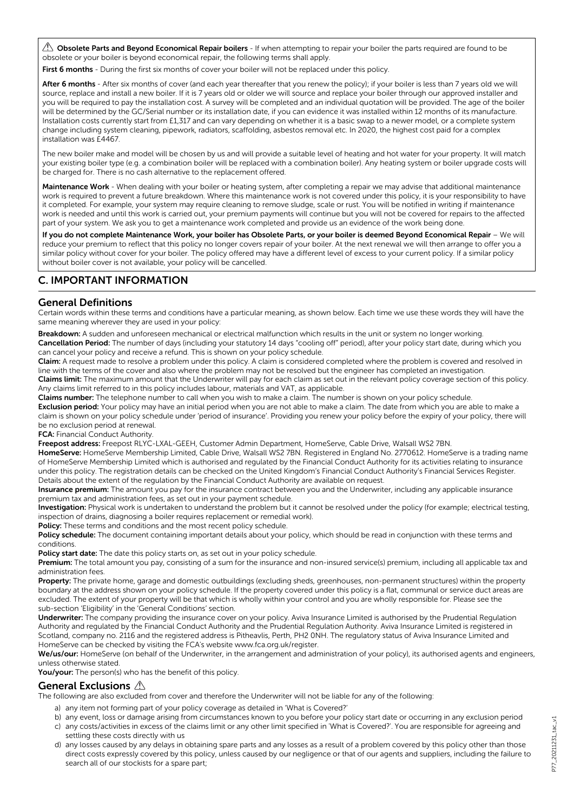$\triangle$  Obsolete Parts and Beyond Economical Repair boilers - If when attempting to repair your boiler the parts required are found to be obsolete or your boiler is beyond economical repair, the following terms shall apply.

First 6 months - During the first six months of cover your boiler will not be replaced under this policy.

After 6 months - After six months of cover (and each year thereafter that you renew the policy); if your boiler is less than 7 years old we will source, replace and install a new boiler. If it is 7 years old or older we will source and replace your boiler through our approved installer and you will be required to pay the installation cost. A survey will be completed and an individual quotation will be provided. The age of the boiler will be determined by the GC/Serial number or its installation date, if you can evidence it was installed within 12 months of its manufacture. Installation costs currently start from £1,317 and can vary depending on whether it is a basic swap to a newer model, or a complete system change including system cleaning, pipework, radiators, scaffolding, asbestos removal etc. In 2020, the highest cost paid for a complex installation was £4467.

The new boiler make and model will be chosen by us and will provide a suitable level of heating and hot water for your property. It will match your existing boiler type (e.g. a combination boiler will be replaced with a combination boiler). Any heating system or boiler upgrade costs will be charged for. There is no cash alternative to the replacement offered.

Maintenance Work - When dealing with your boiler or heating system, after completing a repair we may advise that additional maintenance work is required to prevent a future breakdown. Where this maintenance work is not covered under this policy, it is your responsibility to have it completed. For example, your system may require cleaning to remove sludge, scale or rust. You will be notified in writing if maintenance work is needed and until this work is carried out, your premium payments will continue but you will not be covered for repairs to the affected part of your system. We ask you to get a maintenance work completed and provide us an evidence of the work being done.

If you do not complete Maintenance Work, your boiler has Obsolete Parts, or your boiler is deemed Beyond Economical Repair – We will reduce your premium to reflect that this policy no longer covers repair of your boiler. At the next renewal we will then arrange to offer you a similar policy without cover for your boiler. The policy offered may have a different level of excess to your current policy. If a similar policy without boiler cover is not available, your policy will be cancelled.

## C. IMPORTANT INFORMATION

## General Definitions

Certain words within these terms and conditions have a particular meaning, as shown below. Each time we use these words they will have the same meaning wherever they are used in your policy:

Breakdown: A sudden and unforeseen mechanical or electrical malfunction which results in the unit or system no longer working. Cancellation Period: The number of days (including your statutory 14 days "cooling off" period), after your policy start date, during which you can cancel your policy and receive a refund. This is shown on your policy schedule.

Claim: A request made to resolve a problem under this policy. A claim is considered completed where the problem is covered and resolved in line with the terms of the cover and also where the problem may not be resolved but the engineer has completed an investigation. Claims limit: The maximum amount that the Underwriter will pay for each claim as set out in the relevant policy coverage section of this policy. Any claims limit referred to in this policy includes labour, materials and VAT, as applicable.

Claims number: The telephone number to call when you wish to make a claim. The number is shown on your policy schedule. Exclusion period: Your policy may have an initial period when you are not able to make a claim. The date from which you are able to make a claim is shown on your policy schedule under 'period of insurance'. Providing you renew your policy before the expiry of your policy, there will be no exclusion period at renewal.

FCA: Financial Conduct Authority.

Freepost address: Freepost RLYC-LXAL-GEEH, Customer Admin Department, HomeServe, Cable Drive, Walsall WS2 7BN. HomeServe: HomeServe Membership Limited, Cable Drive, Walsall WS2 7BN. Registered in England No. 2770612. HomeServe is a trading name of HomeServe Membership Limited which is authorised and regulated by the Financial Conduct Authority for its activities relating to insurance under this policy. The registration details can be checked on the United Kingdom's Financial Conduct Authority's Financial Services Register. Details about the extent of the regulation by the Financial Conduct Authority are available on request.

Insurance premium: The amount you pay for the insurance contract between you and the Underwriter, including any applicable insurance premium tax and administration fees, as set out in your payment schedule.

Investigation: Physical work is undertaken to understand the problem but it cannot be resolved under the policy (for example; electrical testing, inspection of drains, diagnosing a boiler requires replacement or remedial work).

Policy: These terms and conditions and the most recent policy schedule.

Policy schedule: The document containing important details about your policy, which should be read in conjunction with these terms and conditions.

Policy start date: The date this policy starts on, as set out in your policy schedule.

Premium: The total amount you pay, consisting of a sum for the insurance and non-insured service(s) premium, including all applicable tax and administration fees.

Property: The private home, garage and domestic outbuildings (excluding sheds, greenhouses, non-permanent structures) within the property boundary at the address shown on your policy schedule. If the property covered under this policy is a flat, communal or service duct areas are excluded. The extent of your property will be that which is wholly within your control and you are wholly responsible for. Please see the sub-section 'Eligibility' in the 'General Conditions' section.

Underwriter: The company providing the insurance cover on your policy. Aviva Insurance Limited is authorised by the Prudential Regulation Authority and regulated by the Financial Conduct Authority and the Prudential Regulation Authority. Aviva Insurance Limited is registered in Scotland, company no. 2116 and the registered address is Pitheavlis, Perth, PH2 0NH. The regulatory status of Aviva Insurance Limited and HomeServe can be checked by visiting the FCA's website www.fca.org.uk/register.

We/us/our: HomeServe (on behalf of the Underwriter, in the arrangement and administration of your policy), its authorised agents and engineers, unless otherwise stated.

You/your: The person(s) who has the benefit of this policy.

## General Exclusions A

The following are also excluded from cover and therefore the Underwriter will not be liable for any of the following:

- a) any item not forming part of your policy coverage as detailed in 'What is Covered?'
- b) any event, loss or damage arising from circumstances known to you before your policy start date or occurring in any exclusion period
- c) any costs/activities in excess of the claims limit or any other limit specified in 'What is Covered?'. You are responsible for agreeing and settling these costs directly with us
- d) any losses caused by any delays in obtaining spare parts and any losses as a result of a problem covered by this policy other than those direct costs expressly covered by this policy, unless caused by our negligence or that of our agents and suppliers, including the failure to search all of our stockists for a spare part;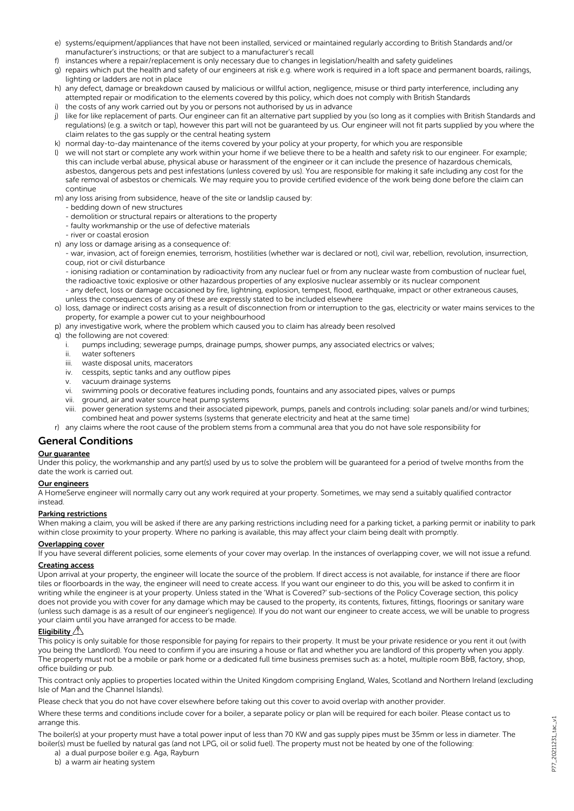- e) systems/equipment/appliances that have not been installed, serviced or maintained regularly according to British Standards and/or manufacturer's instructions; or that are subject to a manufacturer's recall
- f) instances where a repair/replacement is only necessary due to changes in legislation/health and safety guidelines
- g) repairs which put the health and safety of our engineers at risk e.g. where work is required in a loft space and permanent boards, railings, lighting or ladders are not in place
- h) any defect, damage or breakdown caused by malicious or willful action, negligence, misuse or third party interference, including any attempted repair or modification to the elements covered by this policy, which does not comply with British Standards
- i) the costs of any work carried out by you or persons not authorised by us in advance
- j) like for like replacement of parts. Our engineer can fit an alternative part supplied by you (so long as it complies with British Standards and regulations) (e.g. a switch or tap), however this part will not be guaranteed by us. Our engineer will not fit parts supplied by you where the claim relates to the gas supply or the central heating system
- k) normal day-to-day maintenance of the items covered by your policy at your property, for which you are responsible
- l) we will not start or complete any work within your home if we believe there to be a health and safety risk to our engineer. For example; this can include verbal abuse, physical abuse or harassment of the engineer or it can include the presence of hazardous chemicals, asbestos, dangerous pets and pest infestations (unless covered by us). You are responsible for making it safe including any cost for the safe removal of asbestos or chemicals. We may require you to provide certified evidence of the work being done before the claim can continue
- m) any loss arising from subsidence, heave of the site or landslip caused by:
	- bedding down of new structures
	- demolition or structural repairs or alterations to the property
	- faulty workmanship or the use of defective materials
	- river or coastal erosion
- n) any loss or damage arising as a consequence of:

- war, invasion, act of foreign enemies, terrorism, hostilities (whether war is declared or not), civil war, rebellion, revolution, insurrection, coup, riot or civil disturbance

- ionising radiation or contamination by radioactivity from any nuclear fuel or from any nuclear waste from combustion of nuclear fuel, the radioactive toxic explosive or other hazardous properties of any explosive nuclear assembly or its nuclear component

- any defect, loss or damage occasioned by fire, lightning, explosion, tempest, flood, earthquake, impact or other extraneous causes, unless the consequences of any of these are expressly stated to be included elsewhere

- o) loss, damage or indirect costs arising as a result of disconnection from or interruption to the gas, electricity or water mains services to the property, for example a power cut to your neighbourhood
- p) any investigative work, where the problem which caused you to claim has already been resolved
- q) the following are not covered:
	- i. pumps including; sewerage pumps, drainage pumps, shower pumps, any associated electrics or valves;
	- ii. water softeners
	- iii. waste disposal units, macerators
	- iv. cesspits, septic tanks and any outflow pipes
	- v. vacuum drainage systems
	- vi. swimming pools or decorative features including ponds, fountains and any associated pipes, valves or pumps
	- vii. ground, air and water source heat pump systems
	- viii. power generation systems and their associated pipework, pumps, panels and controls including: solar panels and/or wind turbines; combined heat and power systems (systems that generate electricity and heat at the same time)
- r) any claims where the root cause of the problem stems from a communal area that you do not have sole responsibility for

## General Conditions

#### Our guarantee

Under this policy, the workmanship and any part(s) used by us to solve the problem will be guaranteed for a period of twelve months from the date the work is carried out.

## Our engineers

A HomeServe engineer will normally carry out any work required at your property. Sometimes, we may send a suitably qualified contractor instead.

#### Parking restrictions

When making a claim, you will be asked if there are any parking restrictions including need for a parking ticket, a parking permit or inability to park within close proximity to your property. Where no parking is available, this may affect your claim being dealt with promptly.

## Overlapping cover

If you have several different policies, some elements of your cover may overlap. In the instances of overlapping cover, we will not issue a refund.

## Creating access

Upon arrival at your property, the engineer will locate the source of the problem. If direct access is not available, for instance if there are floor tiles or floorboards in the way, the engineer will need to create access. If you want our engineer to do this, you will be asked to confirm it in writing while the engineer is at your property. Unless stated in the 'What is Covered?' sub-sections of the Policy Coverage section, this policy does not provide you with cover for any damage which may be caused to the property, its contents, fixtures, fittings, floorings or sanitary ware (unless such damage is as a result of our engineer's negligence). If you do not want our engineer to create access, we will be unable to progress your claim until you have arranged for access to be made.

## Eligibility

This policy is only suitable for those responsible for paying for repairs to their property. It must be your private residence or you rent it out (with you being the Landlord). You need to confirm if you are insuring a house or flat and whether you are landlord of this property when you apply. The property must not be a mobile or park home or a dedicated full time business premises such as: a hotel, multiple room B&B, factory, shop, office building or pub.

This contract only applies to properties located within the United Kingdom comprising England, Wales, Scotland and Northern Ireland (excluding Isle of Man and the Channel Islands).

Please check that you do not have cover elsewhere before taking out this cover to avoid overlap with another provider.

Where these terms and conditions include cover for a boiler, a separate policy or plan will be required for each boiler. Please contact us to arrange this

The boiler(s) at your property must have a total power input of less than 70 KW and gas supply pipes must be 35mm or less in diameter. The boiler(s) must be fuelled by natural gas (and not LPG, oil or solid fuel). The property must not be heated by one of the following:

a) a dual purpose boiler e.g. Aga, Rayburn

b) a warm air heating system